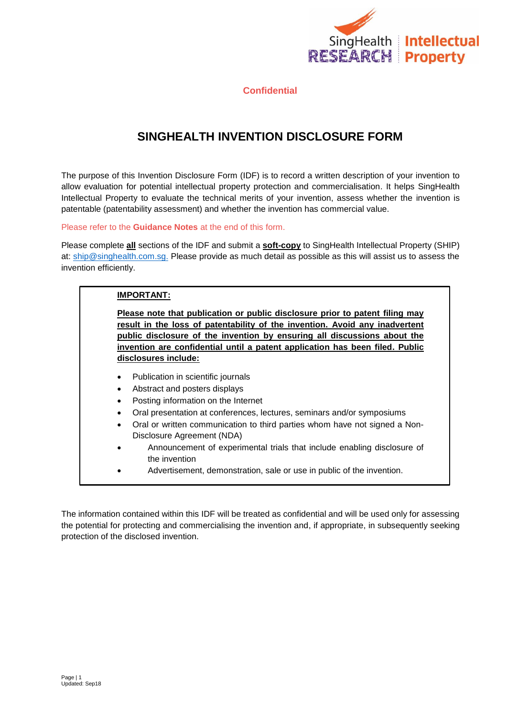

# **SINGHEALTH INVENTION DISCLOSURE FORM**

The purpose of this Invention Disclosure Form (IDF) is to record a written description of your invention to allow evaluation for potential intellectual property protection and commercialisation. It helps SingHealth Intellectual Property to evaluate the technical merits of your invention, assess whether the invention is patentable (patentability assessment) and whether the invention has commercial value.

Please refer to the **Guidance Notes** at the end of this form.

Please complete **all** sections of the IDF and submit a **soft-copy** to SingHealth Intellectual Property (SHIP) at: [ship@singhealth.com.sg.](mailto:ship@singhealth.com.sg) Please provide as much detail as possible as this will assist us to assess the invention efficiently.

## **IMPORTANT: Please note that publication or public disclosure prior to patent filing may result in the loss of patentability of the invention. Avoid any inadvertent public disclosure of the invention by ensuring all discussions about the invention are confidential until a patent application has been filed. Public disclosures include:** • Publication in scientific journals Abstract and posters displays Posting information on the Internet Oral presentation at conferences, lectures, seminars and/or symposiums Oral or written communication to third parties whom have not signed a Non-Disclosure Agreement (NDA) Announcement of experimental trials that include enabling disclosure of the invention Advertisement, demonstration, sale or use in public of the invention.

The information contained within this IDF will be treated as confidential and will be used only for assessing the potential for protecting and commercialising the invention and, if appropriate, in subsequently seeking protection of the disclosed invention.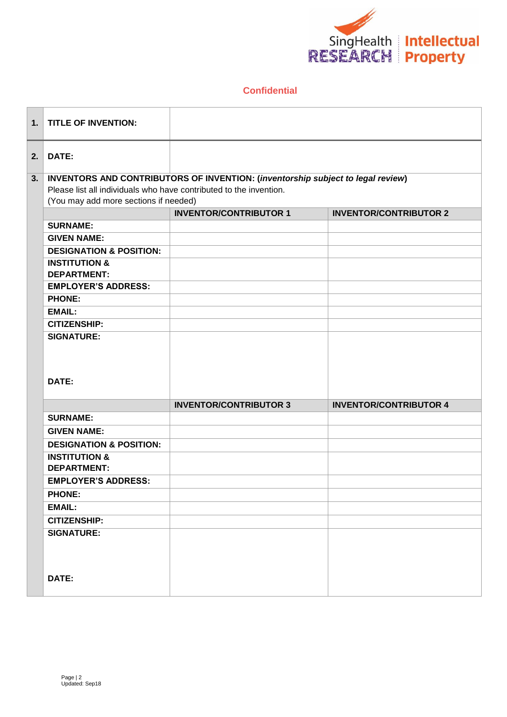

| 1. | <b>TITLE OF INVENTION:</b>                                                      |                               |                               |  |
|----|---------------------------------------------------------------------------------|-------------------------------|-------------------------------|--|
| 2. | DATE:                                                                           |                               |                               |  |
| 3. | INVENTORS AND CONTRIBUTORS OF INVENTION: (inventorship subject to legal review) |                               |                               |  |
|    | Please list all individuals who have contributed to the invention.              |                               |                               |  |
|    | (You may add more sections if needed)                                           |                               |                               |  |
|    |                                                                                 | <b>INVENTOR/CONTRIBUTOR 1</b> | <b>INVENTOR/CONTRIBUTOR 2</b> |  |
|    | <b>SURNAME:</b>                                                                 |                               |                               |  |
|    | <b>GIVEN NAME:</b>                                                              |                               |                               |  |
|    | <b>DESIGNATION &amp; POSITION:</b>                                              |                               |                               |  |
|    | <b>INSTITUTION &amp;</b>                                                        |                               |                               |  |
|    | <b>DEPARTMENT:</b>                                                              |                               |                               |  |
|    | <b>EMPLOYER'S ADDRESS:</b>                                                      |                               |                               |  |
|    | <b>PHONE:</b>                                                                   |                               |                               |  |
|    | <b>EMAIL:</b>                                                                   |                               |                               |  |
|    | <b>CITIZENSHIP:</b>                                                             |                               |                               |  |
|    | <b>SIGNATURE:</b>                                                               |                               |                               |  |
|    | DATE:                                                                           |                               |                               |  |
|    |                                                                                 | <b>INVENTOR/CONTRIBUTOR 3</b> | <b>INVENTOR/CONTRIBUTOR 4</b> |  |
|    | <b>SURNAME:</b>                                                                 |                               |                               |  |
|    | <b>GIVEN NAME:</b>                                                              |                               |                               |  |
|    | <b>DESIGNATION &amp; POSITION:</b>                                              |                               |                               |  |
|    | <b>INSTITUTION &amp;</b><br><b>DEPARTMENT:</b>                                  |                               |                               |  |
|    | <b>EMPLOYER'S ADDRESS:</b>                                                      |                               |                               |  |
|    | <b>PHONE:</b>                                                                   |                               |                               |  |
|    | <b>EMAIL:</b>                                                                   |                               |                               |  |
|    | <b>CITIZENSHIP:</b>                                                             |                               |                               |  |
|    | <b>SIGNATURE:</b>                                                               |                               |                               |  |
|    | DATE:                                                                           |                               |                               |  |
|    |                                                                                 |                               |                               |  |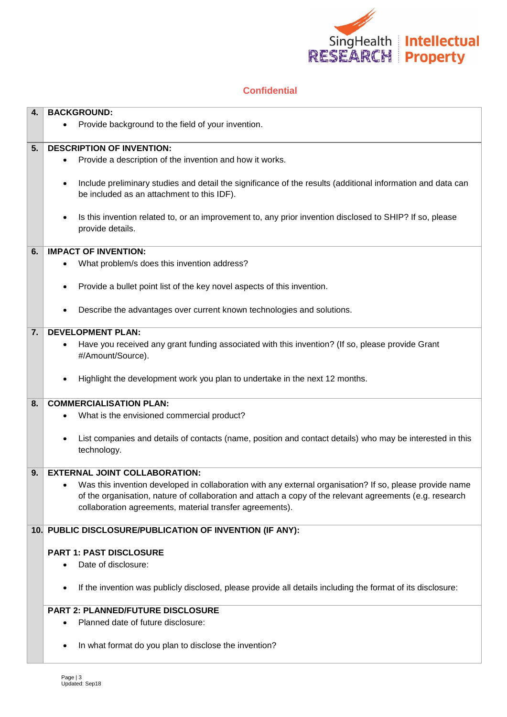

| 4. | <b>BACKGROUND:</b>                                                                                                       |  |  |
|----|--------------------------------------------------------------------------------------------------------------------------|--|--|
|    | Provide background to the field of your invention.<br>$\bullet$                                                          |  |  |
|    |                                                                                                                          |  |  |
| 5. | <b>DESCRIPTION OF INVENTION:</b>                                                                                         |  |  |
|    | Provide a description of the invention and how it works.                                                                 |  |  |
|    |                                                                                                                          |  |  |
|    | Include preliminary studies and detail the significance of the results (additional information and data can<br>$\bullet$ |  |  |
|    | be included as an attachment to this IDF).                                                                               |  |  |
|    |                                                                                                                          |  |  |
|    | Is this invention related to, or an improvement to, any prior invention disclosed to SHIP? If so, please<br>$\bullet$    |  |  |
|    | provide details.                                                                                                         |  |  |
|    |                                                                                                                          |  |  |
| 6. | <b>IMPACT OF INVENTION:</b>                                                                                              |  |  |
|    |                                                                                                                          |  |  |
|    | What problem/s does this invention address?                                                                              |  |  |
|    |                                                                                                                          |  |  |
|    | Provide a bullet point list of the key novel aspects of this invention.                                                  |  |  |
|    |                                                                                                                          |  |  |
|    | Describe the advantages over current known technologies and solutions.<br>$\bullet$                                      |  |  |
|    |                                                                                                                          |  |  |
| 7. | <b>DEVELOPMENT PLAN:</b>                                                                                                 |  |  |
|    | Have you received any grant funding associated with this invention? (If so, please provide Grant<br>$\bullet$            |  |  |
|    | #/Amount/Source).                                                                                                        |  |  |
|    |                                                                                                                          |  |  |
|    | Highlight the development work you plan to undertake in the next 12 months.                                              |  |  |
|    |                                                                                                                          |  |  |
| 8. | <b>COMMERCIALISATION PLAN:</b>                                                                                           |  |  |
|    | What is the envisioned commercial product?                                                                               |  |  |
|    |                                                                                                                          |  |  |
|    | List companies and details of contacts (name, position and contact details) who may be interested in this<br>$\bullet$   |  |  |
|    | technology.                                                                                                              |  |  |
|    |                                                                                                                          |  |  |
| 9. | <b>EXTERNAL JOINT COLLABORATION:</b>                                                                                     |  |  |
|    | Was this invention developed in collaboration with any external organisation? If so, please provide name                 |  |  |
|    | of the organisation, nature of collaboration and attach a copy of the relevant agreements (e.g. research                 |  |  |
|    | collaboration agreements, material transfer agreements).                                                                 |  |  |
|    |                                                                                                                          |  |  |
|    | 10. PUBLIC DISCLOSURE/PUBLICATION OF INVENTION (IF ANY):                                                                 |  |  |
|    |                                                                                                                          |  |  |
|    | <b>PART 1: PAST DISCLOSURE</b>                                                                                           |  |  |
|    | Date of disclosure:                                                                                                      |  |  |
|    |                                                                                                                          |  |  |
|    | If the invention was publicly disclosed, please provide all details including the format of its disclosure:<br>$\bullet$ |  |  |
|    |                                                                                                                          |  |  |
|    | <b>PART 2: PLANNED/FUTURE DISCLOSURE</b>                                                                                 |  |  |
|    | Planned date of future disclosure:<br>$\bullet$                                                                          |  |  |
|    |                                                                                                                          |  |  |
|    | In what format do you plan to disclose the invention?                                                                    |  |  |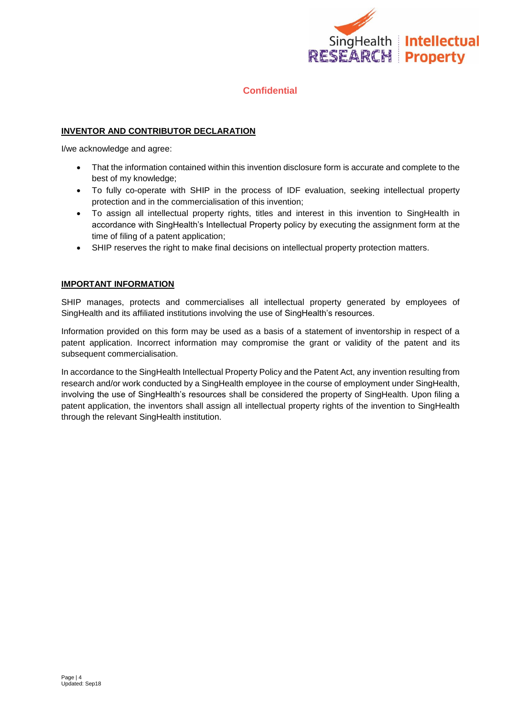

#### **INVENTOR AND CONTRIBUTOR DECLARATION**

I/we acknowledge and agree:

- That the information contained within this invention disclosure form is accurate and complete to the best of my knowledge;
- To fully co-operate with SHIP in the process of IDF evaluation, seeking intellectual property protection and in the commercialisation of this invention;
- To assign all intellectual property rights, titles and interest in this invention to SingHealth in accordance with SingHealth's Intellectual Property policy by executing the assignment form at the time of filing of a patent application;
- SHIP reserves the right to make final decisions on intellectual property protection matters.

#### **IMPORTANT INFORMATION**

SHIP manages, protects and commercialises all intellectual property generated by employees of SingHealth and its affiliated institutions involving the use of SingHealth's resources.

Information provided on this form may be used as a basis of a statement of inventorship in respect of a patent application. Incorrect information may compromise the grant or validity of the patent and its subsequent commercialisation.

In accordance to the SingHealth Intellectual Property Policy and the Patent Act, any invention resulting from research and/or work conducted by a SingHealth employee in the course of employment under SingHealth, involving the use of SingHealth's resources shall be considered the property of SingHealth. Upon filing a patent application, the inventors shall assign all intellectual property rights of the invention to SingHealth through the relevant SingHealth institution.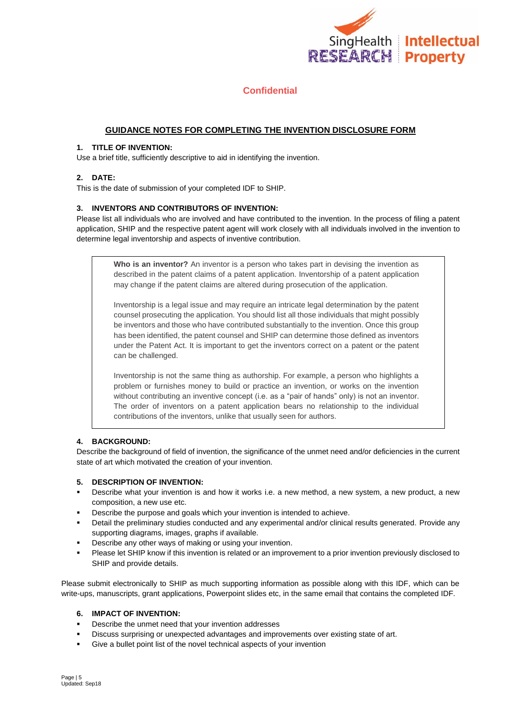

#### **GUIDANCE NOTES FOR COMPLETING THE INVENTION DISCLOSURE FORM**

#### **1. TITLE OF INVENTION:**

Use a brief title, sufficiently descriptive to aid in identifying the invention.

#### **2. DATE:**

This is the date of submission of your completed IDF to SHIP.

#### **3. INVENTORS AND CONTRIBUTORS OF INVENTION:**

Please list all individuals who are involved and have contributed to the invention. In the process of filing a patent application, SHIP and the respective patent agent will work closely with all individuals involved in the invention to determine legal inventorship and aspects of inventive contribution.

**Who is an inventor?** An inventor is a person who takes part in devising the invention as described in the patent claims of a patent application. Inventorship of a patent application may change if the patent claims are altered during prosecution of the application.

Inventorship is a legal issue and may require an intricate legal determination by the patent counsel prosecuting the application. You should list all those individuals that might possibly be inventors and those who have contributed substantially to the invention. Once this group has been identified, the patent counsel and SHIP can determine those defined as inventors under the Patent Act. It is important to get the inventors correct on a patent or the patent can be challenged.

Inventorship is not the same thing as authorship. For example, a person who highlights a problem or furnishes money to build or practice an invention, or works on the invention without contributing an inventive concept (i.e. as a "pair of hands" only) is not an inventor. The order of inventors on a patent application bears no relationship to the individual contributions of the inventors, unlike that usually seen for authors.

#### **4. BACKGROUND:**

Describe the background of field of invention, the significance of the unmet need and/or deficiencies in the current state of art which motivated the creation of your invention.

#### **5. DESCRIPTION OF INVENTION:**

- Describe what your invention is and how it works i.e. a new method, a new system, a new product, a new composition, a new use etc.
- Describe the purpose and goals which your invention is intended to achieve.
- Detail the preliminary studies conducted and any experimental and/or clinical results generated. Provide any supporting diagrams, images, graphs if available.
- Describe any other ways of making or using your invention.
- Please let SHIP know if this invention is related or an improvement to a prior invention previously disclosed to SHIP and provide details.

Please submit electronically to SHIP as much supporting information as possible along with this IDF, which can be write-ups, manuscripts, grant applications, Powerpoint slides etc, in the same email that contains the completed IDF.

#### **6. IMPACT OF INVENTION:**

- Describe the unmet need that your invention addresses
- Discuss surprising or unexpected advantages and improvements over existing state of art.
- Give a bullet point list of the novel technical aspects of your invention